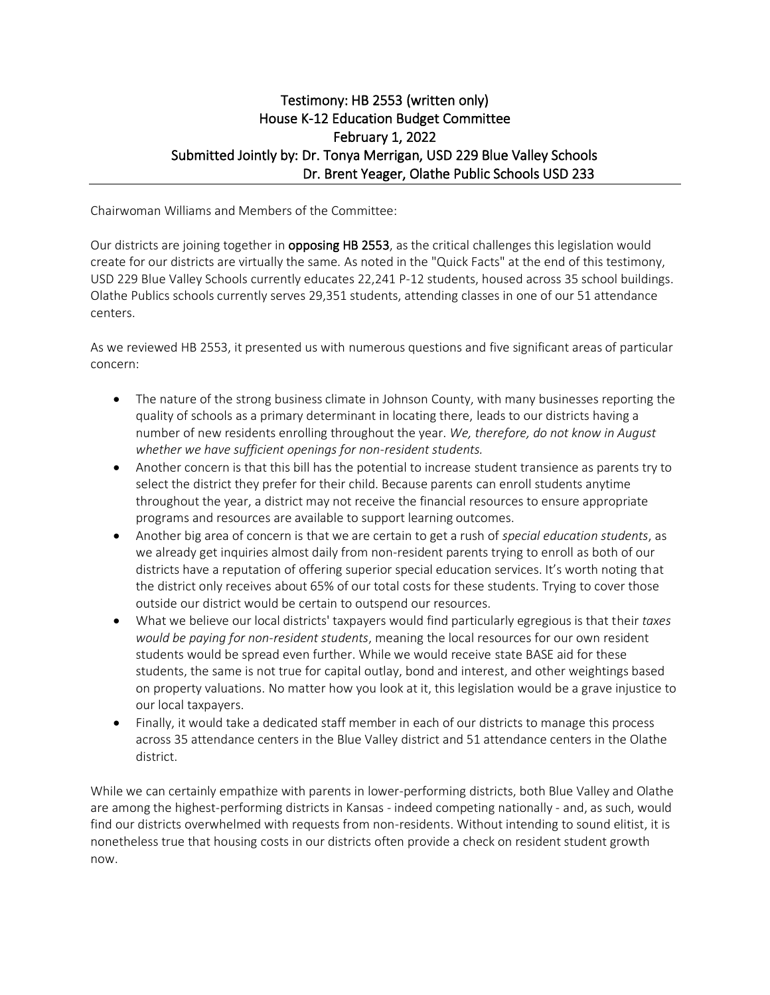## Testimony: HB 2553 (written only) House K-12 Education Budget Committee February 1, 2022 Submitted Jointly by: Dr. Tonya Merrigan, USD 229 Blue Valley Schools Dr. Brent Yeager, Olathe Public Schools USD 233

Chairwoman Williams and Members of the Committee:

Our districts are joining together in **opposing HB 2553**, as the critical challenges this legislation would create for our districts are virtually the same. As noted in the "Quick Facts" at the end of this testimony, USD 229 Blue Valley Schools currently educates 22,241 P-12 students, housed across 35 school buildings. Olathe Publics schools currently serves 29,351 students, attending classes in one of our 51 attendance centers.

As we reviewed HB 2553, it presented us with numerous questions and five significant areas of particular concern:

- The nature of the strong business climate in Johnson County, with many businesses reporting the quality of schools as a primary determinant in locating there, leads to our districts having a number of new residents enrolling throughout the year. *We, therefore, do not know in August whether we have sufficient openings for non-resident students.*
- Another concern is that this bill has the potential to increase student transience as parents try to select the district they prefer for their child. Because parents can enroll students anytime throughout the year, a district may not receive the financial resources to ensure appropriate programs and resources are available to support learning outcomes.
- Another big area of concern is that we are certain to get a rush of *special education students*, as we already get inquiries almost daily from non-resident parents trying to enroll as both of our districts have a reputation of offering superior special education services. It's worth noting that the district only receives about 65% of our total costs for these students. Trying to cover those outside our district would be certain to outspend our resources.
- What we believe our local districts' taxpayers would find particularly egregious is that their *taxes would be paying for non-resident students*, meaning the local resources for our own resident students would be spread even further. While we would receive state BASE aid for these students, the same is not true for capital outlay, bond and interest, and other weightings based on property valuations. No matter how you look at it, this legislation would be a grave injustice to our local taxpayers.
- Finally, it would take a dedicated staff member in each of our districts to manage this process across 35 attendance centers in the Blue Valley district and 51 attendance centers in the Olathe district.

While we can certainly empathize with parents in lower-performing districts, both Blue Valley and Olathe are among the highest-performing districts in Kansas - indeed competing nationally - and, as such, would find our districts overwhelmed with requests from non-residents. Without intending to sound elitist, it is nonetheless true that housing costs in our districts often provide a check on resident student growth now.